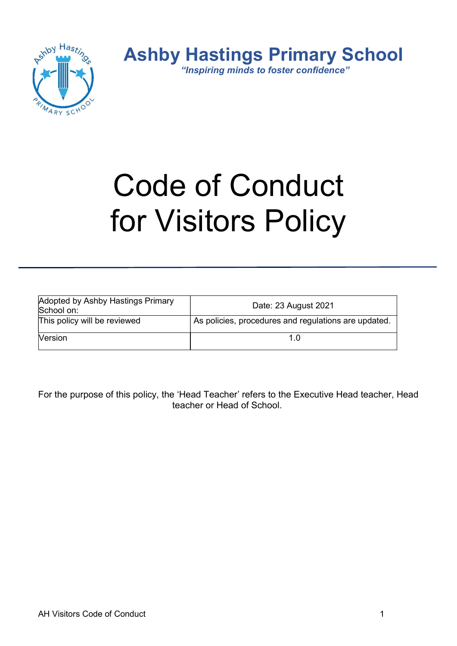

# Code of Conduct for Visitors Policy

| Adopted by Ashby Hastings Primary<br>School on: | Date: 23 August 2021                                 |
|-------------------------------------------------|------------------------------------------------------|
| This policy will be reviewed                    | As policies, procedures and regulations are updated. |
| Version                                         |                                                      |

For the purpose of this policy, the 'Head Teacher' refers to the Executive Head teacher, Head teacher or Head of School.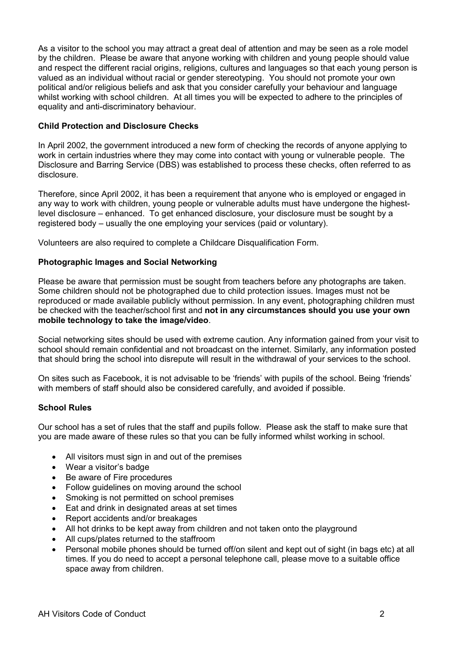As a visitor to the school you may attract a great deal of attention and may be seen as a role model by the children. Please be aware that anyone working with children and young people should value and respect the different racial origins, religions, cultures and languages so that each young person is valued as an individual without racial or gender stereotyping. You should not promote your own political and/or religious beliefs and ask that you consider carefully your behaviour and language whilst working with school children. At all times you will be expected to adhere to the principles of equality and anti-discriminatory behaviour.

## Child Protection and Disclosure Checks

In April 2002, the government introduced a new form of checking the records of anyone applying to work in certain industries where they may come into contact with young or vulnerable people. The Disclosure and Barring Service (DBS) was established to process these checks, often referred to as disclosure.

Therefore, since April 2002, it has been a requirement that anyone who is employed or engaged in any way to work with children, young people or vulnerable adults must have undergone the highestlevel disclosure – enhanced. To get enhanced disclosure, your disclosure must be sought by a registered body – usually the one employing your services (paid or voluntary).

Volunteers are also required to complete a Childcare Disqualification Form.

## Photographic Images and Social Networking

Please be aware that permission must be sought from teachers before any photographs are taken. Some children should not be photographed due to child protection issues. Images must not be reproduced or made available publicly without permission. In any event, photographing children must be checked with the teacher/school first and not in any circumstances should you use your own mobile technology to take the image/video.

Social networking sites should be used with extreme caution. Any information gained from your visit to school should remain confidential and not broadcast on the internet. Similarly, any information posted that should bring the school into disrepute will result in the withdrawal of your services to the school.

On sites such as Facebook, it is not advisable to be 'friends' with pupils of the school. Being 'friends' with members of staff should also be considered carefully, and avoided if possible.

### School Rules

Our school has a set of rules that the staff and pupils follow. Please ask the staff to make sure that you are made aware of these rules so that you can be fully informed whilst working in school.

- All visitors must sign in and out of the premises
- Wear a visitor's badge
- Be aware of Fire procedures
- Follow guidelines on moving around the school
- Smoking is not permitted on school premises
- Eat and drink in designated areas at set times
- Report accidents and/or breakages
- All hot drinks to be kept away from children and not taken onto the playground
- All cups/plates returned to the staffroom
- Personal mobile phones should be turned off/on silent and kept out of sight (in bags etc) at all times. If you do need to accept a personal telephone call, please move to a suitable office space away from children.